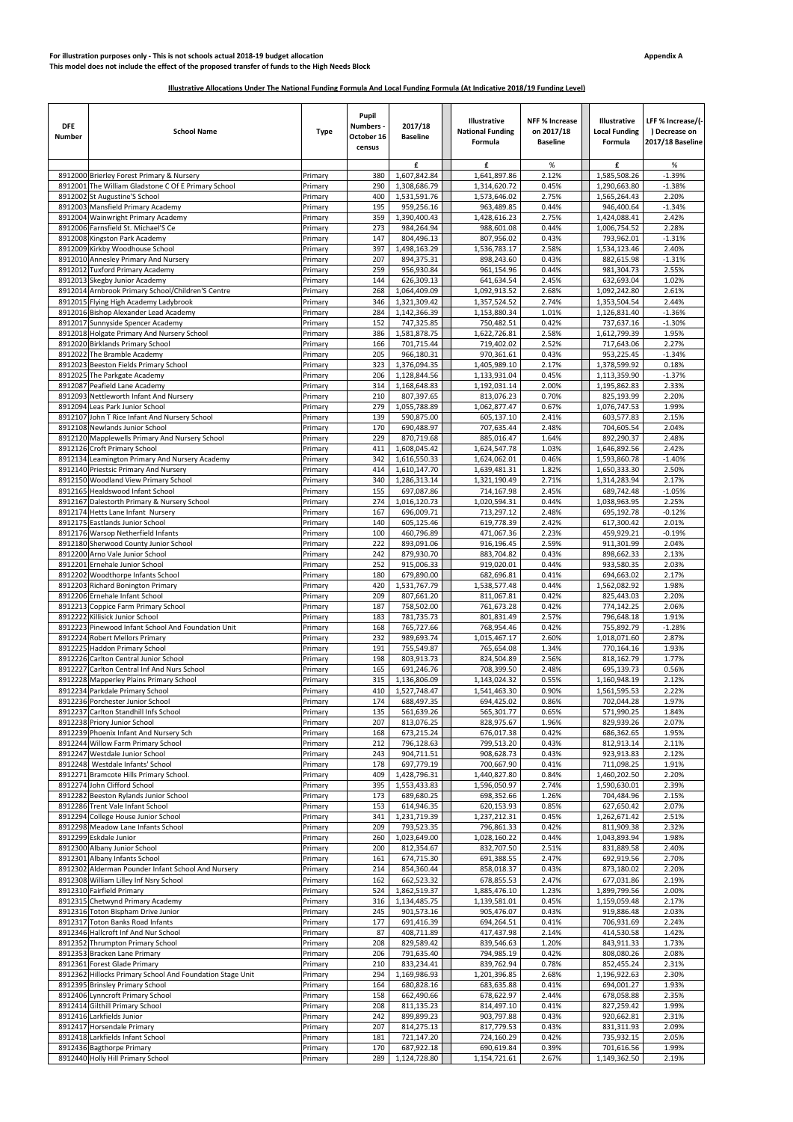### For illustration purposes only - This is not schools actual 2018-19 budget allocation **Appendix A** Appendix A **This model does not include the effect of the proposed transfer of funds to the High Needs Block**

| <b>DFE</b><br>Number | <b>School Name</b>                                                                   | Type               | Pupil<br>Numbers -<br>October 16<br>census | 2017/18<br><b>Baseline</b>   | Illustrative<br><b>National Funding</b><br>Formula | <b>NFF % Increase</b><br>on 2017/18<br><b>Baseline</b> | <b>Illustrative</b><br><b>Local Funding</b><br>Formula | LFF % Increase/(-<br>) Decrease on<br>2017/18 Baseline |
|----------------------|--------------------------------------------------------------------------------------|--------------------|--------------------------------------------|------------------------------|----------------------------------------------------|--------------------------------------------------------|--------------------------------------------------------|--------------------------------------------------------|
|                      | 8912000 Brierley Forest Primary & Nursery                                            | Primary            | 380                                        | £<br>1,607,842.84            | £<br>1,641,897.86                                  | %<br>2.12%                                             | £<br>1,585,508.26                                      | %<br>$-1.39%$                                          |
|                      | 8912001 The William Gladstone C Of E Primary School                                  | Primary            | 290                                        | 1,308,686.79                 | 1,314,620.72                                       | 0.45%                                                  | 1,290,663.80                                           | $-1.38%$                                               |
|                      | 8912002 St Augustine'S School                                                        | Primary            | 400                                        | 1,531,591.76                 | 1,573,646.02                                       | 2.75%                                                  | 1,565,264.43                                           | 2.20%                                                  |
|                      | 8912003 Mansfield Primary Academy                                                    | Primary            | 195                                        | 959,256.16                   | 963,489.85                                         | 0.44%                                                  | 946,400.64                                             | $-1.34%$<br>2.42%                                      |
|                      | 8912004 Wainwright Primary Academy<br>8912006 Farnsfield St. Michael'S Ce            | Primary<br>Primary | 359<br>273                                 | 1,390,400.43<br>984,264.94   | 1,428,616.23<br>988,601.08                         | 2.75%<br>0.44%                                         | 1,424,088.41<br>1,006,754.52                           | 2.28%                                                  |
|                      | 8912008 Kingston Park Academy                                                        | Primary            | 147                                        | 804,496.13                   | 807,956.02                                         | 0.43%                                                  | 793,962.01                                             | $-1.31%$                                               |
|                      | 8912009 Kirkby Woodhouse School                                                      | Primary            | 397                                        | 1,498,163.29                 | 1,536,783.17                                       | 2.58%                                                  | 1,534,123.46                                           | 2.40%                                                  |
|                      | 8912010 Annesley Primary And Nursery<br>8912012 Tuxford Primary Academy              | Primary<br>Primary | 207<br>259                                 | 894,375.31<br>956,930.84     | 898,243.60                                         | 0.43%<br>0.44%                                         | 882,615.98                                             | $-1.31%$<br>2.55%                                      |
|                      | 8912013 Skegby Junior Academy                                                        | Primary            | 144                                        | 626,309.13                   | 961,154.96<br>641,634.54                           | 2.45%                                                  | 981,304.73<br>632,693.04                               | 1.02%                                                  |
|                      | 8912014 Arnbrook Primary School/Children'S Centre                                    | Primary            | 268                                        | 1,064,409.09                 | 1,092,913.52                                       | 2.68%                                                  | 1,092,242.80                                           | 2.61%                                                  |
|                      | 8912015 Flying High Academy Ladybrook                                                | Primary            | 346                                        | 1,321,309.42                 | 1,357,524.52                                       | 2.74%                                                  | 1,353,504.54                                           | 2.44%                                                  |
|                      | 8912016 Bishop Alexander Lead Academy<br>8912017 Sunnyside Spencer Academy           | Primary<br>Primary | 284<br>152                                 | 1,142,366.39<br>747,325.85   | 1,153,880.34<br>750,482.51                         | 1.01%<br>0.42%                                         | 1,126,831.40<br>737,637.16                             | $-1.36%$<br>$-1.30%$                                   |
|                      | 8912018 Holgate Primary And Nursery School                                           | Primary            | 386                                        | 1,581,878.75                 | 1,622,726.81                                       | 2.58%                                                  | 1,612,799.39                                           | 1.95%                                                  |
|                      | 8912020 Birklands Primary School                                                     | Primary            | 166                                        | 701,715.44                   | 719,402.02                                         | 2.52%                                                  | 717,643.06                                             | 2.27%                                                  |
|                      | 8912022 The Bramble Academy                                                          | Primary            | 205                                        | 966,180.31                   | 970,361.61                                         | 0.43%                                                  | 953,225.45                                             | $-1.34%$                                               |
|                      | 8912023 Beeston Fields Primary School                                                | Primary<br>Primary | 323<br>206                                 | 1,376,094.35<br>1,128,844.56 | 1,405,989.10<br>1,133,931.04                       | 2.17%<br>0.45%                                         | 1,378,599.92                                           | 0.18%<br>$-1.37%$                                      |
|                      | 8912025 The Parkgate Academy<br>8912087 Peafield Lane Academy                        | Primary            | 314                                        | 1,168,648.83                 | 1,192,031.14                                       | 2.00%                                                  | 1,113,359.90<br>1,195,862.83                           | 2.33%                                                  |
|                      | 8912093 Nettleworth Infant And Nursery                                               | Primary            | 210                                        | 807,397.65                   | 813,076.23                                         | 0.70%                                                  | 825,193.99                                             | 2.20%                                                  |
|                      | 8912094 Leas Park Junior School                                                      | Primary            | 279                                        | 1,055,788.89                 | 1,062,877.47                                       | 0.67%                                                  | 1,076,747.53                                           | 1.99%                                                  |
|                      | 8912107 John T Rice Infant And Nursery School                                        | Primary            | 139                                        | 590,875.00                   | 605,137.10                                         | 2.41%                                                  | 603,577.83                                             | 2.15%                                                  |
|                      | 8912108 Newlands Junior School<br>8912120 Mapplewells Primary And Nursery School     | Primary<br>Primary | 170<br>229                                 | 690,488.97<br>870,719.68     | 707,635.44<br>885,016.47                           | 2.48%<br>1.64%                                         | 704,605.54<br>892,290.37                               | 2.04%<br>2.48%                                         |
|                      | 8912126 Croft Primary School                                                         | Primary            | 411                                        | 1,608,045.42                 | 1,624,547.78                                       | 1.03%                                                  | 1,646,892.56                                           | 2.42%                                                  |
|                      | 8912134 Leamington Primary And Nursery Academy                                       | Primary            | 342                                        | 1,616,550.33                 | 1,624,062.01                                       | 0.46%                                                  | 1,593,860.78                                           | $-1.40%$                                               |
|                      | 8912140 Priestsic Primary And Nursery                                                | Primary            | 414                                        | 1,610,147.70                 | 1,639,481.31                                       | 1.82%                                                  | 1,650,333.30                                           | 2.50%                                                  |
|                      | 8912150 Woodland View Primary School<br>8912165 Healdswood Infant School             | Primary<br>Primary | 340<br>155                                 | 1,286,313.14<br>697,087.86   | 1,321,190.49<br>714,167.98                         | 2.71%<br>2.45%                                         | 1,314,283.94<br>689,742.48                             | 2.17%<br>$-1.05%$                                      |
|                      | 8912167 Dalestorth Primary & Nursery School                                          | Primary            | 274                                        | 1,016,120.73                 | 1,020,594.31                                       | 0.44%                                                  | 1,038,963.95                                           | 2.25%                                                  |
|                      | 8912174 Hetts Lane Infant Nursery                                                    | Primary            | 167                                        | 696,009.71                   | 713,297.12                                         | 2.48%                                                  | 695,192.78                                             | $-0.12%$                                               |
|                      | 8912175 Eastlands Junior School                                                      | Primary            | 140                                        | 605,125.46                   | 619,778.39                                         | 2.42%                                                  | 617,300.42                                             | 2.01%                                                  |
|                      | 8912176 Warsop Netherfield Infants                                                   | Primary            | 100                                        | 460,796.89                   | 471,067.36                                         | 2.23%                                                  | 459,929.21                                             | $-0.19%$                                               |
|                      | 8912180 Sherwood County Junior School<br>8912200 Arno Vale Junior School             | Primary<br>Primary | 222<br>242                                 | 893,091.06<br>879,930.70     | 916,196.45<br>883,704.82                           | 2.59%<br>0.43%                                         | 911,301.99<br>898,662.33                               | 2.04%<br>2.13%                                         |
|                      | 8912201 Ernehale Junior School                                                       | Primary            | 252                                        | 915,006.33                   | 919,020.01                                         | 0.44%                                                  | 933,580.35                                             | 2.03%                                                  |
|                      | 8912202 Woodthorpe Infants School                                                    | Primary            | 180                                        | 679,890.00                   | 682,696.81                                         | 0.41%                                                  | 694,663.02                                             | 2.17%                                                  |
|                      | 8912203 Richard Bonington Primary                                                    | Primary            | 420                                        | 1,531,767.79                 | 1,538,577.48                                       | 0.44%                                                  | 1,562,082.92                                           | 1.98%                                                  |
|                      | 8912206 Ernehale Infant School<br>8912213 Coppice Farm Primary School                | Primary            | 209<br>187                                 | 807,661.20<br>758,502.00     | 811,067.81<br>761,673.28                           | 0.42%<br>0.42%                                         | 825,443.03<br>774,142.25                               | 2.20%<br>2.06%                                         |
|                      | 8912222 Killisick Junior School                                                      | Primary<br>Primary | 183                                        | 781,735.73                   | 801,831.49                                         | 2.57%                                                  | 796,648.18                                             | 1.91%                                                  |
|                      | 8912223 Pinewood Infant School And Foundation Unit                                   | Primary            | 168                                        | 765,727.66                   | 768,954.46                                         | 0.42%                                                  | 755,892.79                                             | $-1.28%$                                               |
|                      | 8912224 Robert Mellors Primary                                                       | Primary            | 232                                        | 989,693.74                   | 1,015,467.17                                       | 2.60%                                                  | 1,018,071.60                                           | 2.87%                                                  |
|                      | 8912225 Haddon Primary School                                                        | Primary            | 191                                        | 755,549.87                   | 765,654.08                                         | 1.34%                                                  | 770,164.16                                             | 1.93%<br>1.77%                                         |
|                      | 8912226 Carlton Central Junior School<br>8912227 Carlton Central Inf And Nurs School | Primary<br>Primary | 198<br>165                                 | 803,913.73<br>691,246.76     | 824,504.89<br>708,399.50                           | 2.56%<br>2.48%                                         | 818,162.79<br>695,139.73                               | 0.56%                                                  |
|                      | 8912228 Mapperley Plains Primary School                                              | Primary            | 315                                        | 1,136,806.09                 | 1,143,024.32                                       | 0.55%                                                  | 1,160,948.19                                           | 2.12%                                                  |
|                      | 8912234 Parkdale Primary School                                                      | Primary            | 410                                        | 1,527,748.47                 | 1,541,463.30                                       | 0.90%                                                  | 1,561,595.53                                           | 2.22%                                                  |
|                      | 8912236 Porchester Junior School                                                     | Primary            | 174                                        | 688,497.35                   | 694,425.02                                         | 0.86%                                                  | 702,044.28                                             | 1.97%                                                  |
|                      | 8912237 Carlton Standhill Infs School<br>8912238 Priory Junior School                | Primary<br>Primary | 135<br>207                                 | 561,639.26<br>813,076.25     | 565,301.77<br>828,975.67                           | 0.65%<br>1.96%                                         | 571,990.25<br>829,939.26                               | 1.84%<br>2.07%                                         |
|                      | 8912239 Phoenix Infant And Nursery Sch                                               | Primary            | 168                                        | 673,215.24                   | 676,017.38                                         | 0.42%                                                  | 686,362.65                                             | 1.95%                                                  |
|                      | 8912244 Willow Farm Primary School                                                   | Primary            | 212                                        | 796,128.63                   | 799,513.20                                         | 0.43%                                                  | 812,913.14                                             | 2.11%                                                  |
|                      | 8912247 Westdale Junior School                                                       | Primary            | 243                                        | 904,711.51                   | 908,628.73                                         | 0.43%                                                  | 923,913.83                                             | 2.12%                                                  |
|                      | 8912248 Westdale Infants' School<br>8912271 Bramcote Hills Primary School.           | Primary<br>Primary | 178<br>409                                 | 697,779.19<br>1,428,796.31   | 700,667.90<br>1,440,827.80                         | 0.41%<br>0.84%                                         | 711,098.25<br>1,460,202.50                             | 1.91%<br>2.20%                                         |
|                      | 8912274 John Clifford School                                                         | Primary            | 395                                        | 1,553,433.83                 | 1,596,050.97                                       | 2.74%                                                  | 1,590,630.01                                           | 2.39%                                                  |
|                      | 8912282 Beeston Rylands Junior School                                                | Primary            | 173                                        | 689,680.25                   | 698,352.66                                         | 1.26%                                                  | 704,484.96                                             | 2.15%                                                  |
|                      | 8912286 Trent Vale Infant School                                                     | Primary            | 153                                        | 614,946.35                   | 620,153.93                                         | 0.85%                                                  | 627,650.42                                             | 2.07%                                                  |
|                      | 8912294 College House Junior School<br>8912298 Meadow Lane Infants School            | Primary<br>Primary | 341<br>209                                 | 1,231,719.39<br>793,523.35   | 1,237,212.31<br>796,861.33                         | 0.45%<br>0.42%                                         | 1,262,671.42<br>811,909.38                             | 2.51%<br>2.32%                                         |
|                      | 8912299 Eskdale Junior                                                               | Primary            | 260                                        | 1,023,649.00                 | 1,028,160.22                                       | 0.44%                                                  | 1,043,893.94                                           | 1.98%                                                  |
|                      | 8912300 Albany Junior School                                                         | Primary            | 200                                        | 812,354.67                   | 832,707.50                                         | 2.51%                                                  | 831,889.58                                             | 2.40%                                                  |
|                      | 8912301 Albany Infants School                                                        | Primary            | 161                                        | 674,715.30                   | 691,388.55                                         | 2.47%                                                  | 692,919.56                                             | 2.70%                                                  |
|                      | 8912302 Alderman Pounder Infant School And Nursery                                   | Primary            | 214                                        | 854,360.44                   | 858,018.37                                         | 0.43%                                                  | 873,180.02                                             | 2.20%                                                  |
|                      | 8912308 William Lilley Inf Nsry School<br>8912310 Fairfield Primary                  | Primary<br>Primary | 162<br>524                                 | 662,523.32<br>1,862,519.37   | 678,855.53<br>1,885,476.10                         | 2.47%<br>1.23%                                         | 677,031.86<br>1,899,799.56                             | 2.19%<br>2.00%                                         |
|                      | 8912315 Chetwynd Primary Academy                                                     | Primary            | 316                                        | 1,134,485.75                 | 1,139,581.01                                       | 0.45%                                                  | 1,159,059.48                                           | 2.17%                                                  |
|                      | 8912316 Toton Bispham Drive Junior                                                   | Primary            | 245                                        | 901,573.16                   | 905,476.07                                         | 0.43%                                                  | 919,886.48                                             | 2.03%                                                  |
|                      | 8912317 Toton Banks Road Infants                                                     | Primary            | 177                                        | 691,416.39                   | 694,264.51                                         | 0.41%                                                  | 706,931.69                                             | 2.24%                                                  |
|                      | 8912346 Hallcroft Inf And Nur School<br>8912352 Thrumpton Primary School             | Primary<br>Primary | 87<br>208                                  | 408,711.89<br>829,589.42     | 417,437.98<br>839,546.63                           | 2.14%<br>1.20%                                         | 414,530.58<br>843,911.33                               | 1.42%<br>1.73%                                         |
|                      | 8912353 Bracken Lane Primary                                                         | Primary            | 206                                        | 791,635.40                   | 794,985.19                                         | 0.42%                                                  | 808,080.26                                             | 2.08%                                                  |
|                      | 8912361 Forest Glade Primary                                                         | Primary            | 210                                        | 833,234.41                   | 839,762.94                                         | 0.78%                                                  | 852,455.24                                             | 2.31%                                                  |
|                      | 8912362 Hillocks Primary School And Foundation Stage Unit                            | Primary            | 294                                        | 1,169,986.93                 | 1,201,396.85                                       | 2.68%                                                  | 1,196,922.63                                           | 2.30%                                                  |
|                      | 8912395 Brinsley Primary School                                                      | Primary            | 164<br>158                                 | 680,828.16                   | 683,635.88                                         | 0.41%                                                  | 694,001.27                                             | 1.93%<br>2.35%                                         |
|                      | 8912406 Lynncroft Primary School<br>8912414 Gilthill Primary School                  | Primary<br>Primary | 208                                        | 662,490.66<br>811,135.23     | 678,622.97<br>814,497.10                           | 2.44%<br>0.41%                                         | 678,058.88<br>827,259.42                               | 1.99%                                                  |
|                      | 8912416 Larkfields Junior                                                            | Primary            | 242                                        | 899,899.23                   | 903,797.88                                         | 0.43%                                                  | 920,662.81                                             | 2.31%                                                  |
|                      | 8912417 Horsendale Primary                                                           | Primary            | 207                                        | 814,275.13                   | 817,779.53                                         | 0.43%                                                  | 831,311.93                                             | 2.09%                                                  |
|                      | 8912418 Larkfields Infant School                                                     | Primary            | 181                                        | 721,147.20                   | 724,160.29                                         | 0.42%                                                  | 735,932.15                                             | 2.05%                                                  |
|                      | 8912436 Bagthorpe Primary<br>8912440 Holly Hill Primary School                       | Primary<br>Primary | 170<br>289                                 | 687,922.18<br>1,124,728.80   | 690,619.84<br>1,154,721.61                         | 0.39%<br>2.67%                                         | 701,616.56<br>1,149,362.50                             | 1.99%<br>2.19%                                         |
|                      |                                                                                      |                    |                                            |                              |                                                    |                                                        |                                                        |                                                        |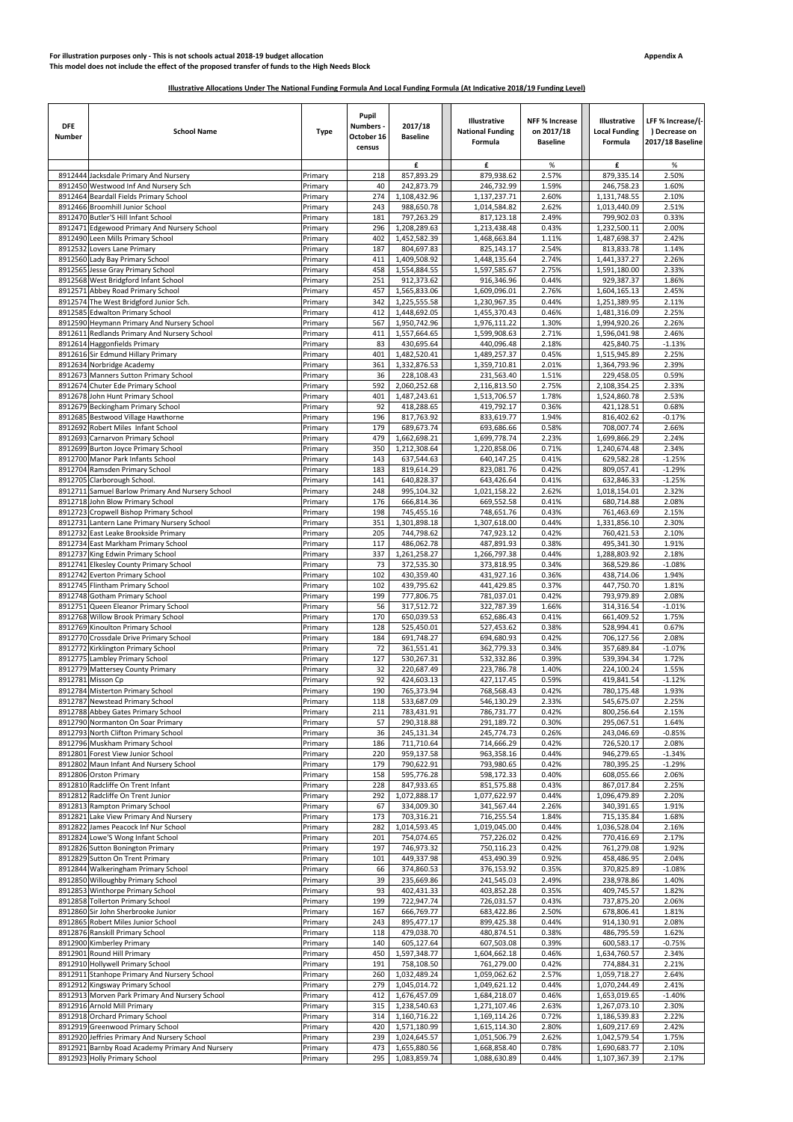### For illustration purposes only - This is not schools actual 2018-19 budget allocation **Appendix A** Appendix A **This model does not include the effect of the proposed transfer of funds to the High Needs Block**

| <b>DFE</b><br><b>Number</b> | <b>School Name</b>                                                              | Type               | Pupil<br>Numbers -<br>October 16<br>census | 2017/18<br><b>Baseline</b>              | Illustrative<br><b>National Funding</b><br>Formula | <b>NFF % Increase</b><br>on 2017/18<br><b>Baseline</b> | <b>Illustrative</b><br><b>Local Funding</b><br>Formula | LFF % Increase/(-<br>) Decrease on<br>2017/18 Baseline |
|-----------------------------|---------------------------------------------------------------------------------|--------------------|--------------------------------------------|-----------------------------------------|----------------------------------------------------|--------------------------------------------------------|--------------------------------------------------------|--------------------------------------------------------|
|                             | 8912444 Jacksdale Primary And Nursery                                           | Primary            | 218                                        | £<br>857,893.29                         | £<br>879,938.62                                    | %<br>2.57%                                             | £<br>879,335.14                                        | %<br>2.50%                                             |
|                             | 8912450 Westwood Inf And Nursery Sch                                            | Primary            | 40                                         | 242,873.79                              | 246,732.99                                         | 1.59%                                                  | 246,758.23                                             | 1.60%                                                  |
|                             | 8912464 Beardall Fields Primary School                                          | Primary            | 274                                        | 1,108,432.96                            | 1,137,237.71                                       | 2.60%                                                  | 1,131,748.55                                           | 2.10%                                                  |
|                             | 8912466 Broomhill Junior School<br>8912470 Butler'S Hill Infant School          | Primary<br>Primary | 243<br>181                                 | 988,650.78<br>797,263.29                | 1,014,584.82<br>817,123.18                         | 2.62%<br>2.49%                                         | 1,013,440.09<br>799,902.03                             | 2.51%<br>0.33%                                         |
|                             | 8912471 Edgewood Primary And Nursery School                                     | Primary            | 296                                        | 1,208,289.63                            | 1,213,438.48                                       | 0.43%                                                  | 1,232,500.11                                           | 2.00%                                                  |
|                             | 8912490 Leen Mills Primary School                                               | Primary            | 402                                        | 1,452,582.39                            | 1,468,663.84                                       | 1.11%                                                  | 1,487,698.37                                           | 2.42%                                                  |
|                             | 8912532 Lovers Lane Primary                                                     | Primary            | 187                                        | 804,697.83                              | 825,143.17                                         | 2.54%                                                  | 813,833.78                                             | 1.14%                                                  |
|                             | 8912560 Lady Bay Primary School<br>8912565 Jesse Gray Primary School            | Primary<br>Primary | 411<br>458                                 | 1,409,508.92<br>1,554,884.55            | 1,448,135.64<br>1,597,585.67                       | 2.74%<br>2.75%                                         | 1,441,337.27<br>1,591,180.00                           | 2.26%<br>2.33%                                         |
|                             | 8912568 West Bridgford Infant School                                            | Primary            | 251                                        | 912,373.62                              | 916,346.96                                         | 0.44%                                                  | 929,387.37                                             | 1.86%                                                  |
|                             | 8912571 Abbey Road Primary School                                               | Primary            | 457                                        | 1,565,833.06                            | 1,609,096.01                                       | 2.76%                                                  | 1,604,165.13                                           | 2.45%                                                  |
|                             | 8912574 The West Bridgford Junior Sch.                                          | Primary            | 342                                        | 1,225,555.58                            | 1,230,967.35                                       | 0.44%                                                  | 1,251,389.95                                           | 2.11%                                                  |
|                             | 8912585 Edwalton Primary School<br>8912590 Heymann Primary And Nursery School   | Primary<br>Primary | 412<br>567                                 | 1,448,692.05<br>1,950,742.96            | 1,455,370.43<br>1,976,111.22                       | 0.46%<br>1.30%                                         | 1,481,316.09<br>1,994,920.26                           | 2.25%<br>2.26%                                         |
|                             | 8912611 Redlands Primary And Nursery School                                     | Primary            | 411                                        | 1,557,664.65                            | 1,599,908.63                                       | 2.71%                                                  | 1,596,041.98                                           | 2.46%                                                  |
|                             | 8912614 Haggonfields Primary                                                    | Primary            | 83                                         | 430,695.64                              | 440,096.48                                         | 2.18%                                                  | 425,840.75                                             | $-1.13%$                                               |
|                             | 8912616 Sir Edmund Hillary Primary                                              | Primary            | 401                                        | 1,482,520.41                            | 1,489,257.37                                       | 0.45%                                                  | 1,515,945.89                                           | 2.25%                                                  |
|                             | 8912634 Norbridge Academy<br>8912673 Manners Sutton Primary School              | Primary<br>Primary | 361<br>36                                  | 1,332,876.53<br>228,108.43              | 1,359,710.81<br>231,563.40                         | 2.01%<br>1.51%                                         | 1,364,793.96<br>229,458.05                             | 2.39%<br>0.59%                                         |
|                             | 8912674 Chuter Ede Primary School                                               | Primary            | 592                                        | 2,060,252.68                            | 2,116,813.50                                       | 2.75%                                                  | 2,108,354.25                                           | 2.33%                                                  |
|                             | 8912678 John Hunt Primary School                                                | Primary            | 401                                        | 1,487,243.61                            | 1,513,706.57                                       | 1.78%                                                  | 1,524,860.78                                           | 2.53%                                                  |
|                             | 8912679 Beckingham Primary School                                               | Primary            | 92                                         | 418,288.65                              | 419,792.17                                         | 0.36%                                                  | 421,128.51                                             | 0.68%                                                  |
|                             | 8912685 Bestwood Village Hawthorne                                              | Primary            | 196                                        | 817,763.92                              | 833,619.77                                         | 1.94%                                                  | 816,402.62                                             | $-0.17%$                                               |
|                             | 8912692 Robert Miles Infant School<br>8912693 Carnarvon Primary School          | Primary<br>Primary | 179<br>479                                 | 689,673.74<br>1,662,698.21              | 693,686.66<br>1,699,778.74                         | 0.58%<br>2.23%                                         | 708,007.74<br>1,699,866.29                             | 2.66%<br>2.24%                                         |
|                             | 8912699 Burton Joyce Primary School                                             | Primary            | 350                                        | 1,212,308.64                            | 1,220,858.06                                       | 0.71%                                                  | 1,240,674.48                                           | 2.34%                                                  |
|                             | 8912700 Manor Park Infants School                                               | Primary            | 143                                        | 637,544.63                              | 640,147.25                                         | 0.41%                                                  | 629,582.28                                             | $-1.25%$                                               |
|                             | 8912704 Ramsden Primary School                                                  | Primary            | 183                                        | 819,614.29                              | 823,081.76                                         | 0.42%                                                  | 809,057.41                                             | $-1.29%$                                               |
|                             | 8912705 Clarborough School.<br>8912711 Samuel Barlow Primary And Nursery School | Primary<br>Primary | 141<br>248                                 | 640,828.37<br>995,104.32                | 643,426.64<br>1,021,158.22                         | 0.41%<br>2.62%                                         | 632,846.33<br>1,018,154.01                             | $-1.25%$<br>2.32%                                      |
|                             | 8912718 John Blow Primary School                                                | Primary            | 176                                        | 666,814.36                              | 669,552.58                                         | 0.41%                                                  | 680,714.88                                             | 2.08%                                                  |
|                             | 8912723 Cropwell Bishop Primary School                                          | Primary            | 198                                        | 745,455.16                              | 748,651.76                                         | 0.43%                                                  | 761,463.69                                             | 2.15%                                                  |
|                             | 8912731 Lantern Lane Primary Nursery School                                     | Primary            | 351                                        | 1,301,898.18                            | 1,307,618.00                                       | 0.44%                                                  | 1,331,856.10                                           | 2.30%                                                  |
|                             | 8912732 East Leake Brookside Primary<br>8912734 East Markham Primary School     | Primary            | 205<br>117                                 | 744,798.62<br>486,062.78                | 747,923.12<br>487,891.93                           | 0.42%<br>0.38%                                         | 760,421.53<br>495,341.30                               | 2.10%<br>1.91%                                         |
|                             | 8912737 King Edwin Primary School                                               | Primary<br>Primary | 337                                        | 1,261,258.27                            | 1,266,797.38                                       | 0.44%                                                  | 1,288,803.92                                           | 2.18%                                                  |
|                             | 8912741 Elkesley County Primary School                                          | Primary            | 73                                         | 372,535.30                              | 373,818.95                                         | 0.34%                                                  | 368,529.86                                             | $-1.08%$                                               |
|                             | 8912742 Everton Primary School                                                  | Primary            | 102                                        | 430,359.40                              | 431,927.16                                         | 0.36%                                                  | 438,714.06                                             | 1.94%                                                  |
|                             | 8912745 Flintham Primary School                                                 | Primary            | 102                                        | 439,795.62                              | 441,429.85                                         | 0.37%                                                  | 447,750.70                                             | 1.81%                                                  |
|                             | 8912748 Gotham Primary School<br>8912751 Queen Eleanor Primary School           | Primary<br>Primary | 199<br>56                                  | 777,806.75<br>317,512.72                | 781,037.01<br>322,787.39                           | 0.42%<br>1.66%                                         | 793,979.89<br>314,316.54                               | 2.08%<br>$-1.01%$                                      |
|                             | 8912768 Willow Brook Primary School                                             | Primary            | 170                                        | 650,039.53                              | 652,686.43                                         | 0.41%                                                  | 661,409.52                                             | 1.75%                                                  |
|                             | 8912769 Kinoulton Primary School                                                | Primary            | 128                                        | 525,450.01                              | 527,453.62                                         | 0.38%                                                  | 528,994.41                                             | 0.67%                                                  |
|                             | 8912770 Crossdale Drive Primary School                                          | Primary            | 184                                        | 691,748.27                              | 694,680.93                                         | 0.42%                                                  | 706,127.56                                             | 2.08%                                                  |
|                             | 8912772 Kirklington Primary School<br>8912775 Lambley Primary School            | Primary<br>Primary | 72<br>127                                  | 361,551.41<br>530,267.31                | 362,779.33<br>532,332.86                           | 0.34%<br>0.39%                                         | 357,689.84<br>539,394.34                               | $-1.07%$<br>1.72%                                      |
|                             | 8912779 Mattersey County Primary                                                | Primary            | 32                                         | 220,687.49                              | 223,786.78                                         | 1.40%                                                  | 224,100.24                                             | 1.55%                                                  |
|                             | 8912781 Misson Cp                                                               | Primary            | 92                                         | 424,603.13                              | 427,117.45                                         | 0.59%                                                  | 419,841.54                                             | $-1.12%$                                               |
|                             | 8912784 Misterton Primary School                                                | Primary            | 190                                        | 765,373.94                              | 768,568.43                                         | 0.42%                                                  | 780,175.48                                             | 1.93%                                                  |
|                             | 8912787 Newstead Primary School<br>8912788 Abbey Gates Primary School           | Primary<br>Primary | 118<br>211                                 | 533,687.09<br>783,431.91                | 546,130.29<br>786,731.77                           | 2.33%<br>0.42%                                         | 545,675.07<br>800,256.64                               | 2.25%<br>2.15%                                         |
|                             | 8912790 Normanton On Soar Primary                                               | Primary            | 57                                         | 290,318.88                              | 291,189.72                                         | 0.30%                                                  | 295,067.51                                             | 1.64%                                                  |
|                             | 8912793 North Clifton Primary School                                            | Primary            | 36                                         | 245,131.34                              | 245,774.73                                         | 0.26%                                                  | 243,046.69                                             | $-0.85%$                                               |
|                             | 8912796 Muskham Primary School                                                  | Primary            | 186                                        | 711,710.64                              | 714,666.29                                         | 0.42%                                                  | 726,520.17                                             | 2.08%                                                  |
|                             | 8912801 Forest View Junior School<br>8912802 Maun Infant And Nursery School     | Primary<br>Primary | 220<br>179                                 | 959,137.58<br>790,622.91                | 963,358.16<br>793,980.65                           | 0.44%<br>0.42%                                         | 946,279.65<br>780,395.25                               | $-1.34%$<br>$-1.29%$                                   |
|                             | 8912806 Orston Primary                                                          | Primary            | 158                                        | 595,776.28                              | 598,172.33                                         | 0.40%                                                  | 608,055.66                                             | 2.06%                                                  |
|                             | 8912810 Radcliffe On Trent Infant                                               | Primary            | 228                                        | 847,933.65                              | 851,575.88                                         | 0.43%                                                  | 867,017.84                                             | 2.25%                                                  |
|                             | 8912812 Radcliffe On Trent Junior                                               | Primary            | 292<br>67                                  | 1,072,888.17                            | 1,077,622.97                                       | 0.44%                                                  | 1,096,479.89                                           | 2.20%                                                  |
|                             | 8912813 Rampton Primary School<br>8912821 Lake View Primary And Nursery         | Primary<br>Primary | 173                                        | 334,009.30<br>703,316.21                | 341,567.44<br>716,255.54                           | 2.26%<br>1.84%                                         | 340,391.65<br>715,135.84                               | 1.91%<br>1.68%                                         |
|                             | 8912822 James Peacock Inf Nur School                                            | Primary            | 282                                        | 1,014,593.45                            | 1,019,045.00                                       | 0.44%                                                  | 1,036,528.04                                           | 2.16%                                                  |
|                             | 8912824 Lowe'S Wong Infant School                                               | Primary            | 201                                        | 754,074.65                              | 757,226.02                                         | 0.42%                                                  | 770,416.69                                             | 2.17%                                                  |
|                             | 8912826 Sutton Bonington Primary<br>8912829 Sutton On Trent Primary             | Primary            | 197<br>101                                 | 746,973.32<br>449,337.98                | 750,116.23                                         | 0.42%<br>0.92%                                         | 761,279.08                                             | 1.92%<br>2.04%                                         |
|                             | 8912844 Walkeringham Primary School                                             | Primary<br>Primary | 66                                         | 374,860.53                              | 453,490.39<br>376,153.92                           | 0.35%                                                  | 458,486.95<br>370,825.89                               | $-1.08%$                                               |
|                             | 8912850 Willoughby Primary School                                               | Primary            | 39                                         | 235,669.86                              | 241,545.03                                         | 2.49%                                                  | 238,978.86                                             | 1.40%                                                  |
|                             | 8912853 Winthorpe Primary School                                                | Primary            | 93                                         | 402,431.33                              | 403,852.28                                         | 0.35%                                                  | 409,745.57                                             | 1.82%                                                  |
|                             | 8912858 Tollerton Primary School<br>8912860 Sir John Sherbrooke Junior          | Primary            | 199<br>167                                 | 722,947.74<br>666,769.77                | 726,031.57                                         | 0.43%<br>2.50%                                         | 737,875.20                                             | 2.06%<br>1.81%                                         |
|                             | 8912865 Robert Miles Junior School                                              | Primary<br>Primary | 243                                        | 895,477.17                              | 683,422.86<br>899,425.38                           | 0.44%                                                  | 678,806.41<br>914,130.91                               | 2.08%                                                  |
|                             | 8912876 Ranskill Primary School                                                 | Primary            | 118                                        | 479,038.70                              | 480,874.51                                         | 0.38%                                                  | 486,795.59                                             | 1.62%                                                  |
|                             | 8912900 Kimberley Primary                                                       | Primary            | 140                                        | 605,127.64                              | 607,503.08                                         | 0.39%                                                  | 600,583.17                                             | $-0.75%$                                               |
|                             | 8912901 Round Hill Primary                                                      | Primary            | 450                                        | 1,597,348.77                            | 1,604,662.18                                       | 0.46%                                                  | 1,634,760.57                                           | 2.34%                                                  |
|                             | 8912910 Hollywell Primary School<br>8912911 Stanhope Primary And Nursery School | Primary<br>Primary | 191<br>260                                 | 758,108.50<br>$\overline{1,}032,489.24$ | 761,279.00<br>1,059,062.62                         | 0.42%<br>2.57%                                         | 774,884.31<br>1,059,718.27                             | 2.21%<br>2.64%                                         |
|                             | 8912912 Kingsway Primary School                                                 | Primary            | 279                                        | 1,045,014.72                            | 1,049,621.12                                       | 0.44%                                                  | 1,070,244.49                                           | 2.41%                                                  |
|                             | 8912913 Morven Park Primary And Nursery School                                  | Primary            | 412                                        | 1,676,457.09                            | 1,684,218.07                                       | 0.46%                                                  | 1,653,019.65                                           | $-1.40%$                                               |
|                             | 8912916 Arnold Mill Primary                                                     | Primary            | 315                                        | 1,238,540.63                            | 1,271,107.46                                       | 2.63%                                                  | 1,267,073.10                                           | 2.30%                                                  |
|                             | 8912918 Orchard Primary School<br>8912919 Greenwood Primary School              | Primary<br>Primary | 314<br>420                                 | 1,160,716.22<br>1,571,180.99            | 1,169,114.26<br>1,615,114.30                       | 0.72%<br>2.80%                                         | 1,186,539.83<br>1,609,217.69                           | 2.22%<br>2.42%                                         |
|                             | 8912920 Jeffries Primary And Nursery School                                     | Primary            | 239                                        | 1,024,645.57                            | 1,051,506.79                                       | 2.62%                                                  | 1,042,579.54                                           | 1.75%                                                  |
|                             | 8912921 Barnby Road Academy Primary And Nursery                                 | Primary            | 473                                        | 1,655,880.56                            | 1,668,858.40                                       | 0.78%                                                  | 1,690,683.77                                           | 2.10%                                                  |
|                             | 8912923 Holly Primary School                                                    | Primary            | 295                                        | 1,083,859.74                            | 1,088,630.89                                       | 0.44%                                                  | 1,107,367.39                                           | 2.17%                                                  |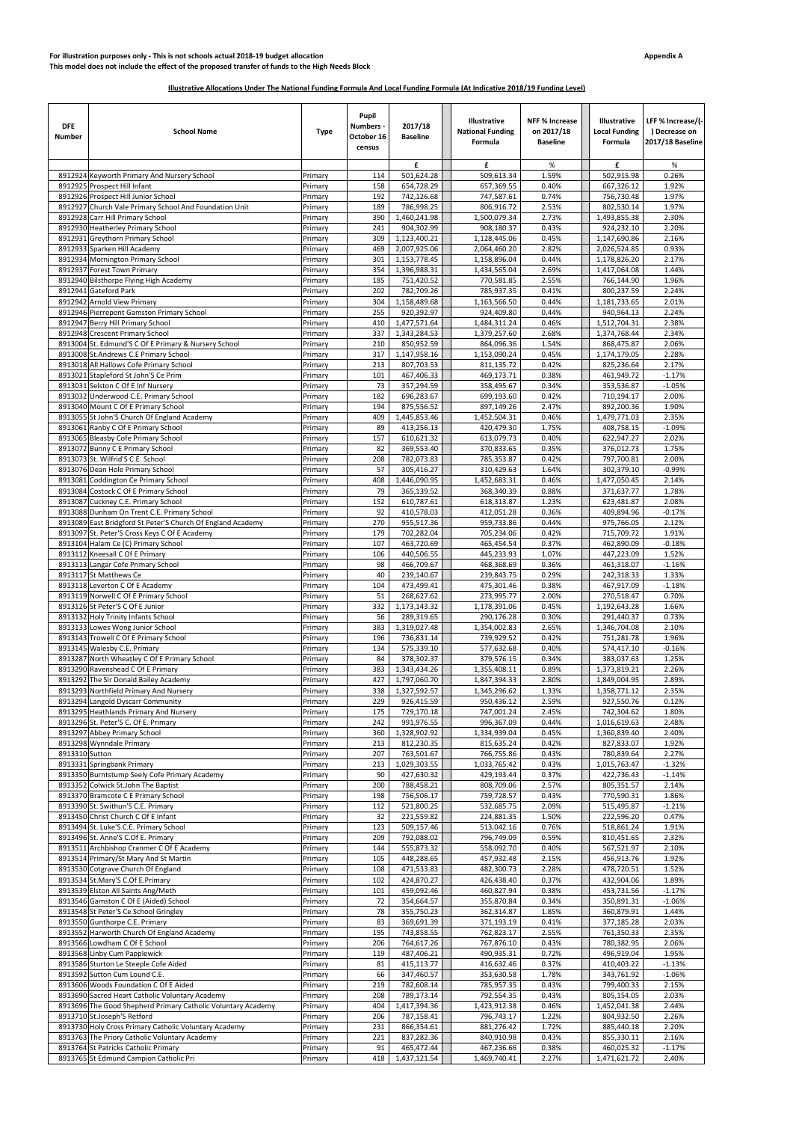### For illustration purposes only - This is not schools actual 2018-19 budget allocation **Appendix A** Appendix A **This model does not include the effect of the proposed transfer of funds to the High Needs Block**

| <b>DFE</b><br>Number | <b>School Name</b>                                                                          | Type               | Pupil<br>Numbers -<br>October 16<br>census | 2017/18<br><b>Baseline</b>   | Illustrative<br><b>National Funding</b><br><b>Formula</b> | <b>NFF % Increase</b><br>on 2017/18<br><b>Baseline</b> | <b>Illustrative</b><br><b>Local Funding</b><br>Formula | LFF % Increase/(-<br>Decrease on<br>2017/18 Baseline |
|----------------------|---------------------------------------------------------------------------------------------|--------------------|--------------------------------------------|------------------------------|-----------------------------------------------------------|--------------------------------------------------------|--------------------------------------------------------|------------------------------------------------------|
|                      | 8912924 Keyworth Primary And Nursery School                                                 | Primary            | 114                                        | £<br>501,624.28              | £<br>509,613.34                                           | %<br>1.59%                                             | £<br>502,915.98                                        | %<br>0.26%                                           |
|                      | 8912925 Prospect Hill Infant                                                                | Primary            | 158                                        | 654,728.29                   | 657,369.55                                                | 0.40%                                                  | 667,326.12                                             | 1.92%                                                |
|                      | 8912926 Prospect Hill Junior School                                                         | Primary            | 192                                        | 742,126.68                   | 747,587.61                                                | 0.74%                                                  | 756,730.48                                             | 1.97%                                                |
|                      | 8912927 Church Vale Primary School And Foundation Unit<br>8912928 Carr Hill Primary School  | Primary<br>Primary | 189<br>390                                 | 786,998.25<br>1,460,241.98   | 806,916.72<br>1,500,079.34                                | 2.53%<br>2.73%                                         | 802,530.14<br>1,493,855.38                             | 1.97%<br>2.30%                                       |
|                      | 8912930 Heatherley Primary School                                                           | Primary            | 241                                        | 904,302.99                   | 908,180.37                                                | 0.43%                                                  | 924,232.10                                             | 2.20%                                                |
|                      | 8912931 Greythorn Primary School                                                            | Primary            | 309                                        | 1,123,400.21                 | 1,128,445.06                                              | 0.45%                                                  | 1,147,690.86                                           | 2.16%                                                |
|                      | 8912933 Sparken Hill Academy                                                                | Primary            | 469                                        | 2,007,925.06                 | 2,064,460.20                                              | 2.82%                                                  | 2,026,524.85                                           | 0.93%                                                |
|                      | 8912934 Mornington Primary School<br>8912937 Forest Town Primary                            | Primary<br>Primary | 301<br>354                                 | 1,153,778.45<br>1,396,988.31 | 1,158,896.04<br>1,434,565.04                              | 0.44%<br>2.69%                                         | 1,178,826.20<br>1,417,064.08                           | 2.17%<br>1.44%                                       |
|                      | 8912940 Bilsthorpe Flying High Academy                                                      | Primary            | 185                                        | 751,420.52                   | 770,581.85                                                | 2.55%                                                  | 766,144.90                                             | 1.96%                                                |
|                      | 8912941 Gateford Park                                                                       | Primary            | 202                                        | 782,709.26                   | 785,937.35                                                | 0.41%                                                  | 800,237.59                                             | 2.24%                                                |
|                      | 8912942 Arnold View Primary                                                                 | Primary            | 304                                        | 1,158,489.68                 | 1,163,566.50                                              | 0.44%                                                  | 1,181,733.65                                           | 2.01%                                                |
|                      | 8912946 Pierrepont Gamston Primary School<br>8912947 Berry Hill Primary School              | Primary<br>Primary | 255<br>410                                 | 920,392.97<br>1,477,571.64   | 924,409.80<br>1,484,311.24                                | 0.44%<br>0.46%                                         | 940,964.13<br>1,512,704.31                             | 2.24%<br>2.38%                                       |
|                      | 8912948 Crescent Primary School                                                             | Primary            | 337                                        | 1,343,284.53                 | 1,379,257.60                                              | 2.68%                                                  | 1,374,768.44                                           | 2.34%                                                |
|                      | 8913004 St. Edmund'S C Of E Primary & Nursery School                                        | Primary            | 210                                        | 850,952.59                   | 864,096.36                                                | 1.54%                                                  | 868,475.87                                             | 2.06%                                                |
|                      | 8913008 St.Andrews C.E Primary School                                                       | Primary            | 317                                        | 1,147,958.16                 | 1,153,090.24                                              | 0.45%                                                  | 1,174,179.05                                           | 2.28%                                                |
|                      | 8913018 All Hallows Cofe Primary School<br>8913021 Stapleford St John'S Ce Prim             | Primary<br>Primary | 213<br>101                                 | 807,703.53<br>467,406.33     | 811,135.72<br>469,173.71                                  | 0.42%<br>0.38%                                         | 825,236.64<br>461,949.72                               | 2.17%<br>$-1.17%$                                    |
|                      | 8913031 Selston C Of E Inf Nursery                                                          | Primary            | 73                                         | 357,294.59                   | 358,495.67                                                | 0.34%                                                  | 353,536.87                                             | $-1.05%$                                             |
|                      | 8913032 Underwood C.E. Primary School                                                       | Primary            | 182                                        | 696,283.67                   | 699,193.60                                                | 0.42%                                                  | 710,194.17                                             | 2.00%                                                |
|                      | 8913040 Mount C Of E Primary School                                                         | Primary            | 194                                        | 875,556.52                   | 897,149.26                                                | 2.47%                                                  | 892,200.36                                             | 1.90%                                                |
|                      | 8913055 St John'S Church Of England Academy<br>8913061 Ranby C Of E Primary School          | Primary<br>Primary | 409<br>89                                  | 1,445,853.46<br>413,256.13   | 1,452,504.31<br>420,479.30                                | 0.46%<br>1.75%                                         | 1,479,771.03<br>408,758.15                             | 2.35%<br>$-1.09%$                                    |
|                      | 8913065 Bleasby Cofe Primary School                                                         | Primary            | 157                                        | 610,621.32                   | 613,079.73                                                | 0.40%                                                  | 622,947.27                                             | 2.02%                                                |
|                      | 8913072 Bunny C E Primary School                                                            | Primary            | 82                                         | 369,553.40                   | 370,833.65                                                | 0.35%                                                  | 376,012.73                                             | 1.75%                                                |
|                      | 8913073 St. Wilfrid'S C.E. School                                                           | Primary            | 208                                        | 782,073.83                   | 785,353.87                                                | 0.42%                                                  | 797,700.81                                             | 2.00%                                                |
|                      | 8913076 Dean Hole Primary School                                                            | Primary            | 57                                         | 305,416.27<br>1,446,090.95   | 310,429.63                                                | 1.64%                                                  | 302,379.10                                             | $-0.99%$                                             |
|                      | 8913081 Coddington Ce Primary School<br>8913084 Costock C Of E Primary School               | Primary<br>Primary | 408<br>79                                  | 365,139.52                   | 1,452,683.31<br>368,340.39                                | 0.46%<br>0.88%                                         | 1,477,050.45<br>371,637.77                             | 2.14%<br>1.78%                                       |
|                      | 8913087 Cuckney C.E. Primary School                                                         | Primary            | 152                                        | 610,787.61                   | 618,313.87                                                | 1.23%                                                  | 623,481.87                                             | 2.08%                                                |
|                      | 8913088 Dunham On Trent C.E. Primary School                                                 | Primary            | 92                                         | 410,578.03                   | 412,051.28                                                | 0.36%                                                  | 409,894.96                                             | $-0.17%$                                             |
|                      | 8913089 East Bridgford St Peter'S Church Of England Academy                                 | Primary            | 270                                        | 955,517.36                   | 959,733.86                                                | 0.44%                                                  | 975,766.05                                             | 2.12%                                                |
|                      | 8913097 St. Peter'S Cross Keys C Of E Academy<br>8913104 Halam Ce (C) Primary School        | Primary<br>Primary | 179<br>107                                 | 702,282.04<br>463,720.69     | 705,234.06<br>465,454.54                                  | 0.42%<br>0.37%                                         | 715,709.72<br>462,890.09                               | 1.91%<br>$-0.18%$                                    |
|                      | 8913112 Kneesall C Of E Primary                                                             | Primary            | 106                                        | 440,506.55                   | 445,233.93                                                | 1.07%                                                  | 447,223.09                                             | 1.52%                                                |
|                      | 8913113 Langar Cofe Primary School                                                          | Primary            | 98                                         | 466,709.67                   | 468,368.69                                                | 0.36%                                                  | 461,318.07                                             | $-1.16%$                                             |
|                      | 8913117 St Matthews Ce                                                                      | Primary            | 40                                         | 239,140.67                   | 239,843.75                                                | 0.29%                                                  | 242,318.33                                             | 1.33%                                                |
|                      | 8913118 Leverton C Of E Academy<br>8913119 Norwell C Of E Primary School                    | Primary<br>Primary | 104<br>51                                  | 473,499.41<br>268,627.62     | 475,301.46<br>273,995.77                                  | 0.38%<br>2.00%                                         | 467,917.09<br>270,518.47                               | $-1.18%$<br>0.70%                                    |
|                      | 8913126 St Peter'S C Of E Junior                                                            | Primary            | 332                                        | 1,173,143.32                 | 1,178,391.06                                              | 0.45%                                                  | 1,192,643.28                                           | 1.66%                                                |
|                      | 8913132 Holy Trinity Infants School                                                         | Primary            | 56                                         | 289,319.65                   | 290,176.28                                                | 0.30%                                                  | 291,440.37                                             | 0.73%                                                |
|                      | 8913133 Lowes Wong Junior School                                                            | Primary            | 383                                        | 1,319,027.48                 | 1,354,002.83                                              | 2.65%                                                  | 1,346,704.08                                           | 2.10%                                                |
|                      | 8913143 Trowell C Of E Primary School<br>8913145 Walesby C.E. Primary                       | Primary<br>Primary | 196<br>134                                 | 736,831.14<br>575,339.10     | 739,929.52<br>577,632.68                                  | 0.42%<br>0.40%                                         | 751,281.78<br>574,417.10                               | 1.96%<br>$-0.16%$                                    |
|                      | 8913287 North Wheatley C Of E Primary School                                                | Primary            | 84                                         | 378,302.37                   | 379,576.15                                                | 0.34%                                                  | 383,037.63                                             | 1.25%                                                |
|                      | 8913290 Ravenshead C Of E Primary                                                           | Primary            | 383                                        | 1,343,434.26                 | 1,355,408.11                                              | 0.89%                                                  | 1,373,819.21                                           | 2.26%                                                |
|                      | 8913292 The Sir Donald Bailey Academy                                                       | Primary            | 427                                        | 1,797,060.70                 | 1,847,394.33                                              | 2.80%                                                  | 1,849,004.95                                           | 2.89%                                                |
|                      | 8913293 Northfield Primary And Nursery<br>8913294 Langold Dyscarr Community                 | Primary<br>Primary | 338<br>229                                 | 1,327,592.57<br>926,415.59   | 1,345,296.62<br>950,436.12                                | 1.33%<br>2.59%                                         | 1,358,771.12<br>927,550.76                             | 2.35%<br>0.12%                                       |
|                      | 8913295 Heathlands Primary And Nursery                                                      | Primary            | 175                                        | 729,170.18                   | 747,001.24                                                | 2.45%                                                  | 742,304.62                                             | 1.80%                                                |
|                      | 8913296 St. Peter'S C. Of E. Primary                                                        | Primary            | 242                                        | 991,976.55                   | 996,367.09                                                | 0.44%                                                  | 1,016,619.63                                           | 2.48%                                                |
|                      | 8913297 Abbey Primary School                                                                | Primary            | 360                                        | 1,328,902.92                 | 1,334,939.04                                              | 0.45%                                                  | 1,360,839.40                                           | 2.40%                                                |
| 8913310 Sutton       | 8913298 Wynndale Primary                                                                    | Primary<br>Primary | 213<br>207                                 | 812,230.35<br>763,501.67     | 815,635.24<br>766,755.86                                  | 0.42%<br>0.43%                                         | 827,833.07<br>780,839.64                               | 1.92%<br>2.27%                                       |
|                      | 8913331 Springbank Primary                                                                  | Primary            | 213                                        | 1,029,303.55                 | 1,033,765.42                                              | 0.43%                                                  | 1,015,763.47                                           | $-1.32%$                                             |
|                      | 8913350 Burntstump Seely Cofe Primary Academy                                               | Primary            | 90                                         | 427,630.32                   | 429,193.44                                                | 0.37%                                                  | 422,736.43                                             | $-1.14%$                                             |
|                      | 8913352 Colwick St.John The Baptist                                                         | Primary            | 200                                        | 788,458.21                   | 808,709.06                                                | 2.57%                                                  | 805,351.57                                             | 2.14%                                                |
|                      | 8913370 Bramcote C E Primary School<br>8913390 St. Swithun'S C.E. Primary                   | Primary<br>Primary | 198<br>112                                 | 756,506.17<br>521,800.25     | 759,728.57<br>532,685.75                                  | 0.43%<br>2.09%                                         | 770,590.31<br>515,495.87                               | 1.86%<br>$-1.21%$                                    |
|                      | 8913450 Christ Church C Of E Infant                                                         | Primary            | 32                                         | 221,559.82                   | 224,881.35                                                | 1.50%                                                  | 222,596.20                                             | 0.47%                                                |
|                      | 8913494 St. Luke'S C.E. Primary School                                                      | Primary            | 123                                        | 509,157.46                   | 513,042.16                                                | 0.76%                                                  | 518,861.24                                             | 1.91%                                                |
|                      | 8913496 St. Anne'S C.Of E. Primary                                                          | Primary            | 209                                        | 792,088.02                   | 796,749.09                                                | 0.59%                                                  | 810,451.65                                             | 2.32%                                                |
|                      | 8913511 Archbishop Cranmer C Of E Academy<br>8913514 Primary/St Mary And St Martin          | Primary<br>Primary | 144<br>105                                 | 555,873.32<br>448,288.65     | 558,092.70<br>457,932.48                                  | 0.40%<br>2.15%                                         | 567,521.97<br>456,913.76                               | 2.10%<br>1.92%                                       |
|                      | 8913530 Cotgrave Church Of England                                                          | Primary            | 108                                        | 471,533.83                   | 482,300.73                                                | 2.28%                                                  | 478,720.51                                             | 1.52%                                                |
|                      | 8913534 St.Mary'S C.Of E.Primary                                                            | Primary            | 102                                        | 424,870.27                   | 426,438.40                                                | 0.37%                                                  | 432,904.06                                             | 1.89%                                                |
|                      | 8913539 Elston All Saints Ang/Meth                                                          | Primary            | 101<br>72                                  | 459,092.46<br>354,664.57     | 460,827.94                                                | 0.38%                                                  | 453,731.56                                             | $-1.17%$                                             |
|                      | 8913546 Gamston C Of E (Aided) School<br>8913548 St Peter'S Ce School Gringley              | Primary<br>Primary | 78                                         | 355,750.23                   | 355,870.84<br>362,314.87                                  | 0.34%<br>1.85%                                         | 350,891.31<br>360,879.91                               | $-1.06%$<br>1.44%                                    |
|                      | 8913550 Gunthorpe C.E. Primary                                                              | Primary            | 83                                         | 369,691.39                   | 371,193.19                                                | 0.41%                                                  | 377,185.28                                             | 2.03%                                                |
|                      | 8913552 Harworth Church Of England Academy                                                  | Primary            | 195                                        | 743,858.55                   | 762,823.17                                                | 2.55%                                                  | 761,350.33                                             | 2.35%                                                |
|                      | 8913566 Lowdham C Of E School                                                               | Primary            | 206                                        | 764,617.26                   | 767,876.10                                                | 0.43%                                                  | 780,382.95                                             | 2.06%                                                |
|                      | 8913568 Linby Cum Papplewick<br>8913586 Sturton Le Steeple Cofe Aided                       | Primary<br>Primary | 119<br>81                                  | 487,406.21<br>415,113.77     | 490,935.31<br>416,632.46                                  | 0.72%<br>0.37%                                         | 496,919.04<br>410,403.22                               | 1.95%<br>$-1.13%$                                    |
|                      | 8913592 Sutton Cum Lound C.E.                                                               | Primary            | 66                                         | 347,460.57                   | 353,630.58                                                | 1.78%                                                  | 343,761.92                                             | $-1.06%$                                             |
|                      | 8913606 Woods Foundation C Of E Aided                                                       | Primary            | 219                                        | 782,608.14                   | 785,957.35                                                | 0.43%                                                  | 799,400.33                                             | 2.15%                                                |
|                      | 8913690 Sacred Heart Catholic Voluntary Academy                                             | Primary            | 208                                        | 789,173.14                   | 792,554.35                                                | 0.43%                                                  | 805,154.05                                             | 2.03%                                                |
|                      | 8913696 The Good Shepherd Primary Catholic Voluntary Academy<br>8913710 St.Joseph'S Retford | Primary<br>Primary | 404<br>206                                 | 1,417,394.36<br>787,158.41   | 1,423,912.38<br>796,743.17                                | 0.46%<br>1.22%                                         | 1,452,041.38<br>804,932.50                             | 2.44%<br>2.26%                                       |
|                      | 8913730 Holy Cross Primary Catholic Voluntary Academy                                       | Primary            | 231                                        | 866,354.61                   | 881,276.42                                                | 1.72%                                                  | 885,440.18                                             | 2.20%                                                |
|                      | 8913763 The Priory Catholic Voluntary Academy                                               | Primary            | 221                                        | 837,282.36                   | 840,910.98                                                | 0.43%                                                  | 855,330.11                                             | 2.16%                                                |
|                      | 8913764 St Patricks Catholic Primary                                                        | Primary            | 91                                         | 465,472.44                   | 467,236.66                                                | 0.38%                                                  | 460,025.32                                             | $-1.17%$                                             |
|                      | 8913765 St Edmund Campion Catholic Pri                                                      | Primary            | 418                                        | 1,437,121.54                 | 1,469,740.41                                              | 2.27%                                                  | 1,471,621.72                                           | 2.40%                                                |